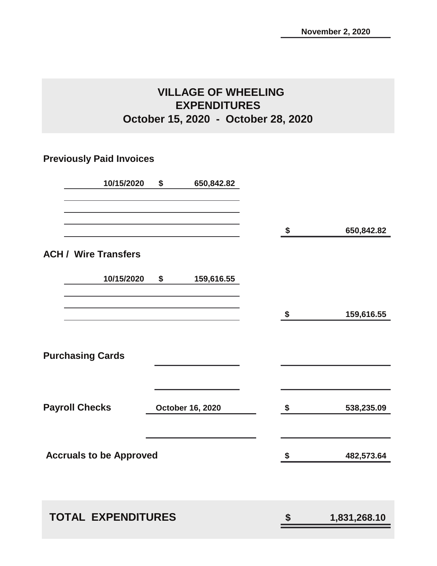## **VILLAGE OF WHEELING EXPENDITURES October 15, 2020 - October 28, 2020**

## **Previously Paid Invoices**

| 10/15/2020                     | \$<br>650,842.82        |                            |              |
|--------------------------------|-------------------------|----------------------------|--------------|
|                                |                         | \$                         | 650,842.82   |
| <b>ACH / Wire Transfers</b>    |                         |                            |              |
| 10/15/2020                     | \$<br>159,616.55        |                            |              |
|                                |                         | $\boldsymbol{\mathsf{\$}}$ | 159,616.55   |
| <b>Purchasing Cards</b>        |                         |                            |              |
| <b>Payroll Checks</b>          | <b>October 16, 2020</b> | \$                         | 538,235.09   |
| <b>Accruals to be Approved</b> |                         | \$                         | 482,573.64   |
| <b>TOTAL EXPENDITURES</b>      |                         | \$                         | 1,831,268.10 |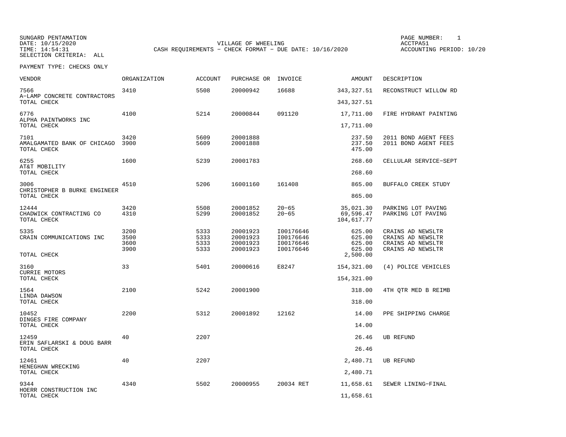SUNGARD PENTAMATION PAGE NUMBER: 1VILLAGE OF WHEELING **ACCTPA51** TIME: 14:54:31 CASH REQUIREMENTS - CHECK FORMAT - DUE DATE: 10/16/2020

ACCOUNTING PERIOD: 10/20

| VENDOR                                             | ORGANIZATION                 | <b>ACCOUNT</b>               | PURCHASE OR                                  | INVOICE                                          | AMOUNT                               | DESCRIPTION                                                                      |
|----------------------------------------------------|------------------------------|------------------------------|----------------------------------------------|--------------------------------------------------|--------------------------------------|----------------------------------------------------------------------------------|
| 7566<br>A-LAMP CONCRETE CONTRACTORS                | 3410                         | 5508                         | 20000942                                     | 16688                                            | 343, 327.51                          | RECONSTRUCT WILLOW RD                                                            |
| TOTAL CHECK                                        |                              |                              |                                              |                                                  | 343, 327.51                          |                                                                                  |
| 6776                                               | 4100                         | 5214                         | 20000844                                     | 091120                                           | 17,711.00                            | FIRE HYDRANT PAINTING                                                            |
| ALPHA PAINTWORKS INC<br>TOTAL CHECK                |                              |                              |                                              |                                                  | 17,711.00                            |                                                                                  |
| 7101<br>AMALGAMATED BANK OF CHICAGO<br>TOTAL CHECK | 3420<br>3900                 | 5609<br>5609                 | 20001888<br>20001888                         |                                                  | 237.50<br>237.50<br>475.00           | 2011 BOND AGENT FEES<br>2011 BOND AGENT FEES                                     |
| 6255<br>AT&T MOBILITY<br>TOTAL CHECK               | 1600                         | 5239                         | 20001783                                     |                                                  | 268.60<br>268.60                     | CELLULAR SERVICE-SEPT                                                            |
| 3006                                               | 4510                         | 5206                         | 16001160                                     | 161408                                           | 865.00                               | BUFFALO CREEK STUDY                                                              |
| CHRISTOPHER B BURKE ENGINEER<br>TOTAL CHECK        |                              |                              |                                              |                                                  | 865.00                               |                                                                                  |
| 12444<br>CHADWICK CONTRACTING CO<br>TOTAL CHECK    | 3420<br>4310                 | 5508<br>5299                 | 20001852<br>20001852                         | $20 - 65$<br>$20 - 65$                           | 35,021.30<br>69,596.47<br>104,617.77 | PARKING LOT PAVING<br>PARKING LOT PAVING                                         |
| 5335<br>CRAIN COMMUNICATIONS INC                   | 3200<br>3500<br>3600<br>3900 | 5333<br>5333<br>5333<br>5333 | 20001923<br>20001923<br>20001923<br>20001923 | I00176646<br>I00176646<br>I00176646<br>I00176646 | 625.00<br>625.00<br>625.00<br>625.00 | CRAINS AD NEWSLTR<br>CRAINS AD NEWSLTR<br>CRAINS AD NEWSLTR<br>CRAINS AD NEWSLTR |
| TOTAL CHECK                                        |                              |                              |                                              |                                                  | 2,500.00                             |                                                                                  |
| 3160<br><b>CURRIE MOTORS</b>                       | 33                           | 5401                         | 20000616                                     | E8247                                            | 154,321.00                           | (4) POLICE VEHICLES                                                              |
| TOTAL CHECK                                        |                              |                              |                                              |                                                  | 154,321.00                           |                                                                                  |
| 1564<br>LINDA DAWSON                               | 2100                         | 5242                         | 20001900                                     |                                                  | 318.00                               | 4TH OTR MED B REIMB                                                              |
| TOTAL CHECK                                        |                              |                              |                                              |                                                  | 318.00                               |                                                                                  |
| 10452<br>DINGES FIRE COMPANY                       | 2200                         | 5312                         | 20001892                                     | 12162                                            | 14.00                                | PPE SHIPPING CHARGE                                                              |
| TOTAL CHECK                                        |                              |                              |                                              |                                                  | 14.00                                |                                                                                  |
| 12459<br>ERIN SAFLARSKI & DOUG BARR<br>TOTAL CHECK | 40                           | 2207                         |                                              |                                                  | 26.46<br>26.46                       | <b>UB REFUND</b>                                                                 |
| 12461                                              | 40                           | 2207                         |                                              |                                                  | 2,480.71                             | <b>UB REFUND</b>                                                                 |
| HENEGHAN WRECKING<br>TOTAL CHECK                   |                              |                              |                                              |                                                  | 2,480.71                             |                                                                                  |
| 9344                                               | 4340                         | 5502                         | 20000955                                     | 20034 RET                                        | 11,658.61                            | SEWER LINING-FINAL                                                               |
| HOERR CONSTRUCTION INC<br>TOTAL CHECK              |                              |                              |                                              |                                                  | 11,658.61                            |                                                                                  |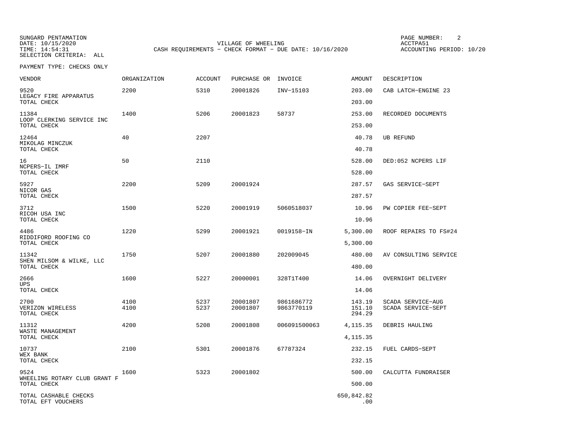SUNGARD PENTAMATION PAGE NUMBER: 2SELECTION CRITERIA: ALL

DATE: 10/15/2020 VILLAGE OF WHEELING ACCTPA51CASH REQUIREMENTS - CHECK FORMAT - DUE DATE: 10/16/2020

ACCOUNTING PERIOD: 10/20

| <b>VENDOR</b>                               | ORGANIZATION | ACCOUNT | PURCHASE OR | INVOICE      | <b>AMOUNT</b>     | DESCRIPTION           |
|---------------------------------------------|--------------|---------|-------------|--------------|-------------------|-----------------------|
| 9520<br>LEGACY FIRE APPARATUS               | 2200         | 5310    | 20001826    | INV-15103    | 203.00            | CAB LATCH-ENGINE 23   |
| TOTAL CHECK                                 |              |         |             |              | 203.00            |                       |
| 11384<br>LOOP CLERKING SERVICE INC          | 1400         | 5206    | 20001823    | 58737        | 253.00            | RECORDED DOCUMENTS    |
| TOTAL CHECK                                 |              |         |             |              | 253.00            |                       |
| 12464<br>MIKOLAG MINCZUK<br>TOTAL CHECK     | 40           | 2207    |             |              | 40.78<br>40.78    | UB REFUND             |
|                                             |              |         |             |              |                   |                       |
| 16<br>NCPERS-IL IMRF<br>TOTAL CHECK         | 50           | 2110    |             |              | 528.00<br>528.00  | DED:052 NCPERS LIF    |
| 5927                                        | 2200         | 5209    | 20001924    |              | 287.57            | GAS SERVICE-SEPT      |
| NICOR GAS<br>TOTAL CHECK                    |              |         |             |              | 287.57            |                       |
| 3712                                        | 1500         | 5220    | 20001919    | 5060518037   | 10.96             | PW COPIER FEE-SEPT    |
| RICOH USA INC<br>TOTAL CHECK                |              |         |             |              | 10.96             |                       |
| 4486                                        | 1220         | 5299    | 20001921    | 0019158-IN   | 5,300.00          | ROOF REPAIRS TO FS#24 |
| RIDDIFORD ROOFING CO<br>TOTAL CHECK         |              |         |             |              | 5,300.00          |                       |
| 11342<br>SHEN MILSOM & WILKE, LLC           | 1750         | 5207    | 20001880    | 202009045    | 480.00            | AV CONSULTING SERVICE |
| TOTAL CHECK                                 |              |         |             |              | 480.00            |                       |
| 2666<br><b>UPS</b>                          | 1600         | 5227    | 20000001    | 328T1T400    | 14.06             | OVERNIGHT DELIVERY    |
| TOTAL CHECK                                 |              |         |             |              | 14.06             |                       |
| 2700                                        | 4100         | 5237    | 20001807    | 9861686772   | 143.19            | SCADA SERVICE-AUG     |
| VERIZON WIRELESS<br>TOTAL CHECK             | 4100         | 5237    | 20001807    | 9863770119   | 151.10<br>294.29  | SCADA SERVICE-SEPT    |
| 11312<br>WASTE MANAGEMENT                   | 4200         | 5208    | 20001808    | 006091500063 | 4, 115. 35        | DEBRIS HAULING        |
| TOTAL CHECK                                 |              |         |             |              | 4, 115. 35        |                       |
| 10737                                       | 2100         | 5301    | 20001876    | 67787324     | 232.15            | FUEL CARDS-SEPT       |
| WEX BANK<br>TOTAL CHECK                     |              |         |             |              | 232.15            |                       |
| 9524                                        | 1600         | 5323    | 20001802    |              | 500.00            | CALCUTTA FUNDRAISER   |
| WHEELING ROTARY CLUB GRANT F<br>TOTAL CHECK |              |         |             |              | 500.00            |                       |
| TOTAL CASHABLE CHECKS<br>TOTAL EFT VOUCHERS |              |         |             |              | 650,842.82<br>.00 |                       |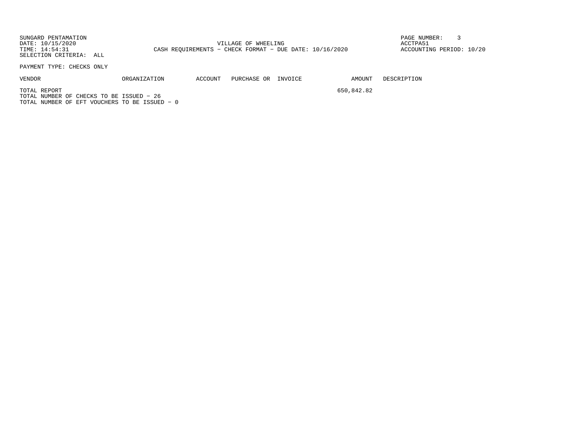SUNGARD PENTAMATION PAGE NUMBER: 3DATE: 10/15/2020 VILLAGE OF WHEELING ACCTPA51TIME: 14:54:31 CASH REQUIREMENTS - CHECK FORMAT - DUE DATE: 10/16/2020 SELECTION CRITERIA: ALL

ACCOUNTING PERIOD: 10/20

PAYMENT TYPE: CHECKS ONLY

VENDOR ORGANIZATION ACCOUNT PURCHASE OR INVOICE AMOUNT DESCRIPTION

TOTAL REPORT 650,842.82

TOTAL NUMBER OF CHECKS TO BE ISSUED − 26TOTAL NUMBER OF EFT VOUCHERS TO BE ISSUED − 0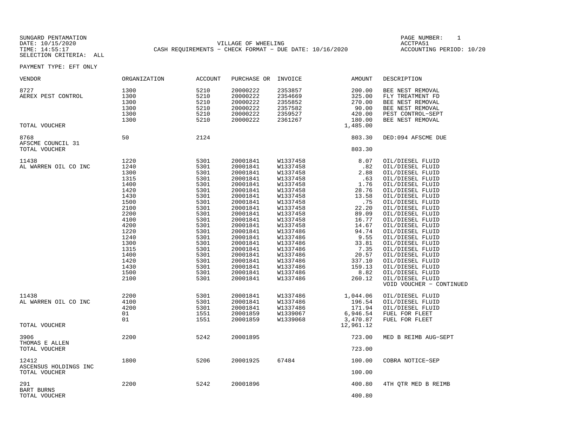SUNGARD PENTAMATION SUNGARD PENTAMATION SUNGARD PAGE NUMBER: 1 SUNGARD PAGE NUMBER: 1 DATE: 10/15/2020 VILLAGE OF WHEELING ACCTPA51CASH REQUIREMENTS - CHECK FORMAT - DUE DATE: 10/16/2020

ACCOUNTING PERIOD: 10/20

| VENDOR                                     | ORGANIZATION | ACCOUNT | PURCHASE OR INVOICE |          | AMOUNT           | DESCRIPTION              |
|--------------------------------------------|--------------|---------|---------------------|----------|------------------|--------------------------|
| 8727                                       | 1300         | 5210    | 20000222            | 2353857  | 200.00           | BEE NEST REMOVAL         |
| AEREX PEST CONTROL                         | 1300         | 5210    | 20000222            | 2354669  | 325.00           | FLY TREATMENT FD         |
|                                            | 1300         | 5210    | 20000222            | 2355852  | 270.00           | BEE NEST REMOVAL         |
|                                            | 1300         | 5210    | 20000222            | 2357582  | 90.00            | BEE NEST REMOVAL         |
|                                            | 1300         | 5210    | 20000222            | 2359527  | 420.00           | PEST CONTROL-SEPT        |
|                                            | 1300         | 5210    | 20000222            | 2361267  | 180.00           | BEE NEST REMOVAL         |
| TOTAL VOUCHER                              |              |         |                     |          | 1,485.00         |                          |
| 8768<br>AFSCME COUNCIL 31<br>TOTAL VOUCHER | 50           | 2124    |                     |          | 803.30<br>803.30 | DED:094 AFSCME DUE       |
|                                            |              |         |                     |          |                  |                          |
| 11438                                      | 1220         | 5301    | 20001841            | W1337458 | 8.07             | OIL/DIESEL FLUID         |
| AL WARREN OIL CO INC                       | 1240         | 5301    | 20001841            | W1337458 | .82              | OIL/DIESEL FLUID         |
|                                            | 1300         | 5301    | 20001841            | W1337458 | 2.88             | OIL/DIESEL FLUID         |
|                                            | 1315         | 5301    | 20001841            | W1337458 | .63              | OIL/DIESEL FLUID         |
|                                            | 1400         | 5301    | 20001841            | W1337458 | 1.76             | OIL/DIESEL FLUID         |
|                                            | 1420         | 5301    | 20001841            | W1337458 | 28.76            | OIL/DIESEL FLUID         |
|                                            | 1430         | 5301    | 20001841            | W1337458 | 13.58            | OIL/DIESEL FLUID         |
|                                            | 1500         | 5301    | 20001841            | W1337458 | .75              | OIL/DIESEL FLUID         |
|                                            | 2100         | 5301    | 20001841            | W1337458 | 22.20            | OIL/DIESEL FLUID         |
|                                            | 2200         | 5301    | 20001841            | W1337458 | 89.09            | OIL/DIESEL FLUID         |
|                                            | 4100         |         |                     |          |                  |                          |
|                                            |              | 5301    | 20001841            | W1337458 | 16.77            | OIL/DIESEL FLUID         |
|                                            | 4200         | 5301    | 20001841            | W1337458 | 14.67            | OIL/DIESEL FLUID         |
|                                            | 1220         | 5301    | 20001841            | W1337486 | 94.74            | OIL/DIESEL FLUID         |
|                                            | 1240         | 5301    | 20001841            | W1337486 | 9.55             | OIL/DIESEL FLUID         |
|                                            | 1300         | 5301    | 20001841            | W1337486 | 33.81            | OIL/DIESEL FLUID         |
|                                            | 1315         | 5301    | 20001841            | W1337486 | 7.35             | OIL/DIESEL FLUID         |
|                                            | 1400         | 5301    | 20001841            | W1337486 | 20.57            | OIL/DIESEL FLUID         |
|                                            | 1420         | 5301    | 20001841            | W1337486 | 337.10           | OIL/DIESEL FLUID         |
|                                            | 1430         | 5301    | 20001841            | W1337486 | 159.13           | OIL/DIESEL FLUID         |
|                                            | 1500         | 5301    | 20001841            | W1337486 | 8.82             | OIL/DIESEL FLUID         |
|                                            | 2100         | 5301    | 20001841            | W1337486 | 260.12           | OIL/DIESEL FLUID         |
|                                            |              |         |                     |          |                  | VOID VOUCHER - CONTINUED |
| 11438                                      | 2200         | 5301    | 20001841            | W1337486 | 1,044.06         | OIL/DIESEL FLUID         |
|                                            | 4100         | 5301    | 20001841            | W1337486 | 196.54           |                          |
| AL WARREN OIL CO INC                       |              |         |                     |          |                  | OIL/DIESEL FLUID         |
|                                            | 4200         | 5301    | 20001841            | W1337486 | 171.94           | OIL/DIESEL FLUID         |
|                                            | 01           | 1551    | 20001859            | W1339067 | 6,946.54         | FUEL FOR FLEET           |
|                                            | 01           | 1551    | 20001859            | W1339068 | 3,470.87         | FUEL FOR FLEET           |
| TOTAL VOUCHER                              |              |         |                     |          | 12,961.12        |                          |
| 3906<br>THOMAS E ALLEN                     | 2200         | 5242    | 20001895            |          | 723.00           | MED B REIMB AUG-SEPT     |
| TOTAL VOUCHER                              |              |         |                     |          | 723.00           |                          |
| 12412<br>ASCENSUS HOLDINGS INC             | 1800         | 5206    | 20001925            | 67484    | 100.00           | COBRA NOTICE-SEP         |
| TOTAL VOUCHER                              |              |         |                     |          | 100.00           |                          |
| 291<br><b>BART BURNS</b>                   | 2200         | 5242    | 20001896            |          | 400.80           | 4TH OTR MED B REIMB      |
| TOTAL VOUCHER                              |              |         |                     |          | 400.80           |                          |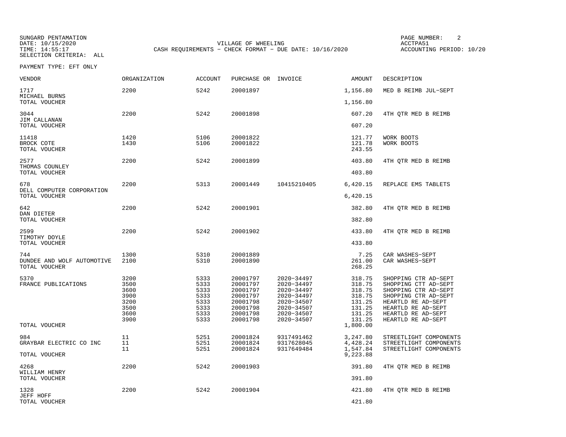SUNGARD PENTAMATION PAGE NUMBER: 2DATE: 10/15/2020 VILLAGE OF WHEELING ACCTPA51CASH REQUIREMENTS - CHECK FORMAT - DUE DATE: 10/16/2020

ACCOUNTING PERIOD: 10/20

| VENDOR                                             | ORGANIZATION | ACCOUNT      | PURCHASE OR INVOICE  |                          | AMOUNT                     | DESCRIPTION                                  |
|----------------------------------------------------|--------------|--------------|----------------------|--------------------------|----------------------------|----------------------------------------------|
| 1717<br>MICHAEL BURNS                              | 2200         | 5242         | 20001897             |                          | 1,156.80                   | MED B REIMB JUL-SEPT                         |
| TOTAL VOUCHER                                      |              |              |                      |                          | 1,156.80                   |                                              |
| 3044<br>JIM CALLANAN                               | 2200         | 5242         | 20001898             |                          | 607.20                     | 4TH QTR MED B REIMB                          |
| TOTAL VOUCHER                                      |              |              |                      |                          | 607.20                     |                                              |
| 11418<br>BROCK COTE<br>TOTAL VOUCHER               | 1420<br>1430 | 5106<br>5106 | 20001822<br>20001822 |                          | 121.77<br>121.78<br>243.55 | WORK BOOTS<br>WORK BOOTS                     |
| 2577<br>THOMAS COUNLEY                             | 2200         | 5242         | 20001899             |                          | 403.80                     | 4TH QTR MED B REIMB                          |
| TOTAL VOUCHER                                      |              |              |                      |                          | 403.80                     |                                              |
| 678<br>DELL COMPUTER CORPORATION                   | 2200         | 5313         | 20001449             | 10415210405              | 6,420.15                   | REPLACE EMS TABLETS                          |
| TOTAL VOUCHER                                      |              |              |                      |                          | 6,420.15                   |                                              |
| 642<br>DAN DIETER                                  | 2200         | 5242         | 20001901             |                          | 382.80                     | 4TH QTR MED B REIMB                          |
| TOTAL VOUCHER                                      |              |              |                      |                          | 382.80                     |                                              |
| 2599<br>TIMOTHY DOYLE                              | 2200         | 5242         | 20001902             |                          | 433.80                     | 4TH QTR MED B REIMB                          |
| TOTAL VOUCHER                                      |              |              |                      |                          | 433.80                     |                                              |
| 744<br>DUNDEE AND WOLF AUTOMOTIVE<br>TOTAL VOUCHER | 1300<br>2100 | 5310<br>5310 | 20001889<br>20001890 |                          | 7.25<br>261.00<br>268.25   | CAR WASHES-SEPT<br>CAR WASHES-SEPT           |
| 5370                                               | 3200         | 5333         | 20001797             | 2020-34497               | 318.75                     | SHOPPING CTR AD-SEPT                         |
| FRANCE PUBLICATIONS                                | 3500         | 5333         | 20001797             | 2020-34497               | 318.75                     | SHOPPING CTT AD-SEPT                         |
|                                                    | 3600<br>3900 | 5333<br>5333 | 20001797<br>20001797 | 2020-34497<br>2020-34497 | 318.75<br>318.75           | SHOPPING CTR AD-SEPT<br>SHOPPING CTR AD-SEPT |
|                                                    | 3200         | 5333         | 20001798             | 2020-34507               | 131.25                     | HEARTLD RE AD-SEPT                           |
|                                                    | 3500         | 5333         | 20001798             | 2020-34507               | 131.25                     | HEARTLD RE AD-SEPT                           |
|                                                    | 3600<br>3900 | 5333<br>5333 | 20001798<br>20001798 | 2020-34507<br>2020-34507 | 131.25<br>131.25           | HEARTLD RE AD-SEPT<br>HEARTLD RE AD-SEPT     |
| TOTAL VOUCHER                                      |              |              |                      |                          | 1,800.00                   |                                              |
| 984                                                | 11           | 5251         | 20001824             | 9317491462               | 3,247.80                   | STREETLIGHT COMPONENTS                       |
| GRAYBAR ELECTRIC CO INC                            | 11           | 5251         | 20001824             | 9317628045               | 4,428.24                   | STREETLIGHT COMPONENTS                       |
| TOTAL VOUCHER                                      | 11           | 5251         | 20001824             | 9317649484               | 1,547.84<br>9,223.88       | STREETLIGHT COMPONENTS                       |
| 4268<br>WILLIAM HENRY                              | 2200         | 5242         | 20001903             |                          | 391.80                     | 4TH OTR MED B REIMB                          |
| TOTAL VOUCHER                                      |              |              |                      |                          | 391.80                     |                                              |
| 1328                                               | 2200         | 5242         | 20001904             |                          | 421.80                     | 4TH OTR MED B REIMB                          |
| JEFF HOFF<br>TOTAL VOUCHER                         |              |              |                      |                          | 421.80                     |                                              |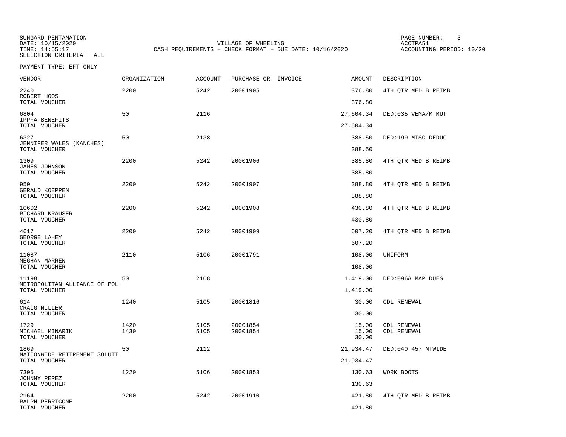SUNGARD PENTAMATION PAGE NUMBER: 3DATE: 10/15/2020 VILLAGE OF WHEELING ACCTPA51CASH REQUIREMENTS - CHECK FORMAT - DUE DATE: 10/16/2020

ACCOUNTING PERIOD: 10/20

| VENDOR                                            | <b>ORGANIZATION</b> | <b>ACCOUNT</b> | PURCHASE OR INVOICE  | <b>AMOUNT</b>           | DESCRIPTION                |
|---------------------------------------------------|---------------------|----------------|----------------------|-------------------------|----------------------------|
| 2240<br>ROBERT HOOS                               | 2200                | 5242           | 20001905             | 376.80                  | 4TH OTR MED B REIMB        |
| TOTAL VOUCHER                                     |                     |                |                      | 376.80                  |                            |
| 6804<br>IPPFA BENEFITS                            | 50                  | 2116           |                      | 27,604.34               | DED:035 VEMA/M MUT         |
| TOTAL VOUCHER                                     |                     |                |                      | 27,604.34               |                            |
| 6327<br>JENNIFER WALES (KANCHES)<br>TOTAL VOUCHER | 50                  | 2138           |                      | 388.50<br>388.50        | DED:199 MISC DEDUC         |
|                                                   |                     |                |                      |                         |                            |
| 1309<br>JAMES JOHNSON<br>TOTAL VOUCHER            | 2200                | 5242           | 20001906             | 385.80<br>385.80        | 4TH QTR MED B REIMB        |
| 950                                               | 2200                | 5242           | 20001907             | 388.80                  | 4TH QTR MED B REIMB        |
| <b>GERALD KOEPPEN</b><br>TOTAL VOUCHER            |                     |                |                      | 388.80                  |                            |
| 10602                                             | 2200                | 5242           | 20001908             | 430.80                  | 4TH QTR MED B REIMB        |
| RICHARD KRAUSER<br>TOTAL VOUCHER                  |                     |                |                      | 430.80                  |                            |
| 4617<br>GEORGE LAHEY                              | 2200                | 5242           | 20001909             | 607.20                  | 4TH QTR MED B REIMB        |
| TOTAL VOUCHER                                     |                     |                |                      | 607.20                  |                            |
| 11087<br>MEGHAN MARREN                            | 2110                | 5106           | 20001791             | 108.00                  | UNIFORM                    |
| TOTAL VOUCHER                                     |                     |                |                      | 108.00                  |                            |
| 11198<br>METROPOLITAN ALLIANCE OF POL             | 50                  | 2108           |                      | 1,419.00                | DED:096A MAP DUES          |
| TOTAL VOUCHER                                     |                     |                |                      | 1,419.00                |                            |
| 614<br>CRAIG MILLER                               | 1240                | 5105           | 20001816             | 30.00                   | CDL RENEWAL                |
| TOTAL VOUCHER                                     |                     |                |                      | 30.00                   |                            |
| 1729<br>MICHAEL MINARIK<br>TOTAL VOUCHER          | 1420<br>1430        | 5105<br>5105   | 20001854<br>20001854 | 15.00<br>15.00<br>30.00 | CDL RENEWAL<br>CDL RENEWAL |
| 1869                                              | 50                  | 2112           |                      | 21,934.47               | DED:040 457 NTWIDE         |
| NATIONWIDE RETIREMENT SOLUTI<br>TOTAL VOUCHER     |                     |                |                      | 21,934.47               |                            |
| 7305<br>JOHNNY PEREZ                              | 1220                | 5106           | 20001853             | 130.63                  | WORK BOOTS                 |
| TOTAL VOUCHER                                     |                     |                |                      | 130.63                  |                            |
| 2164<br>RALPH PERRICONE                           | 2200                | 5242           | 20001910             | 421.80                  | 4TH QTR MED B REIMB        |
| TOTAL VOUCHER                                     |                     |                |                      | 421.80                  |                            |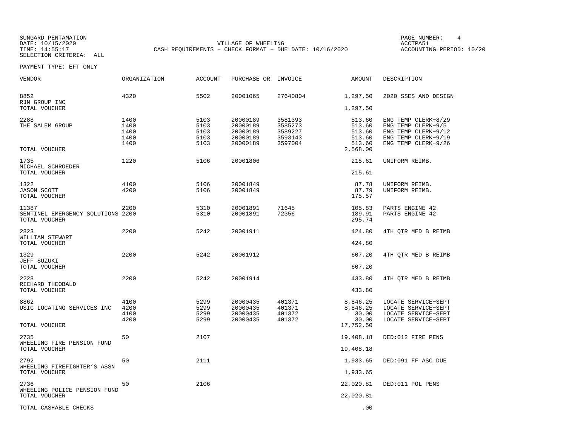SUNGARD PENTAMATION PAGE NUMBER: 4DATE: 10/15/2020 VILLAGE OF WHEELING ACCTPA51CASH REQUIREMENTS - CHECK FORMAT - DUE DATE: 10/16/2020

ACCOUNTING PERIOD: 10/20

| VENDOR                                                      | ORGANIZATION                         | <b>ACCOUNT</b>                       | PURCHASE OR                                              | INVOICE                                             | AMOUNT                                                     | DESCRIPTION                                                                                                    |
|-------------------------------------------------------------|--------------------------------------|--------------------------------------|----------------------------------------------------------|-----------------------------------------------------|------------------------------------------------------------|----------------------------------------------------------------------------------------------------------------|
| 8852<br>RJN GROUP INC                                       | 4320                                 | 5502                                 | 20001065                                                 | 27640804                                            | 1,297.50                                                   | 2020 SSES AND DESIGN                                                                                           |
| TOTAL VOUCHER                                               |                                      |                                      |                                                          |                                                     | 1,297.50                                                   |                                                                                                                |
| 2288<br>THE SALEM GROUP<br>TOTAL VOUCHER                    | 1400<br>1400<br>1400<br>1400<br>1400 | 5103<br>5103<br>5103<br>5103<br>5103 | 20000189<br>20000189<br>20000189<br>20000189<br>20000189 | 3581393<br>3585273<br>3589227<br>3593143<br>3597004 | 513.60<br>513.60<br>513.60<br>513.60<br>513.60<br>2,568.00 | ENG TEMP CLERK-8/29<br>ENG TEMP CLERK-9/5<br>ENG TEMP CLERK-9/12<br>ENG TEMP CLERK-9/19<br>ENG TEMP CLERK-9/26 |
|                                                             |                                      |                                      |                                                          |                                                     |                                                            |                                                                                                                |
| 1735<br>MICHAEL SCHROEDER<br>TOTAL VOUCHER                  | 1220                                 | 5106                                 | 20001806                                                 |                                                     | 215.61<br>215.61                                           | UNIFORM REIMB.                                                                                                 |
|                                                             |                                      |                                      |                                                          |                                                     |                                                            |                                                                                                                |
| 1322<br><b>JASON SCOTT</b><br>TOTAL VOUCHER                 | 4100<br>4200                         | 5106<br>5106                         | 20001849<br>20001849                                     |                                                     | 87.78<br>87.79<br>175.57                                   | UNIFORM REIMB.<br>UNIFORM REIMB.                                                                               |
| 11387<br>SENTINEL EMERGENCY SOLUTIONS 2200<br>TOTAL VOUCHER | 2200                                 | 5310<br>5310                         | 20001891<br>20001891                                     | 71645<br>72356                                      | 105.83<br>189.91<br>295.74                                 | PARTS ENGINE 42<br>PARTS ENGINE 42                                                                             |
| 2823<br>WILLIAM STEWART<br>TOTAL VOUCHER                    | 2200                                 | 5242                                 | 20001911                                                 |                                                     | 424.80<br>424.80                                           | 4TH QTR MED B REIMB                                                                                            |
|                                                             |                                      |                                      |                                                          |                                                     |                                                            |                                                                                                                |
| 1329<br>JEFF SUZUKI<br>TOTAL VOUCHER                        | 2200                                 | 5242                                 | 20001912                                                 |                                                     | 607.20<br>607.20                                           | 4TH QTR MED B REIMB                                                                                            |
|                                                             | 2200                                 | 5242                                 |                                                          |                                                     |                                                            |                                                                                                                |
| 2228<br>RICHARD THEOBALD<br>TOTAL VOUCHER                   |                                      |                                      | 20001914                                                 |                                                     | 433.80<br>433.80                                           | 4TH OTR MED B REIMB                                                                                            |
|                                                             |                                      |                                      |                                                          |                                                     |                                                            |                                                                                                                |
| 8862<br>USIC LOCATING SERVICES INC                          | 4100<br>4200<br>4100<br>4200         | 5299<br>5299<br>5299<br>5299         | 20000435<br>20000435<br>20000435<br>20000435             | 401371<br>401371<br>401372<br>401372                | 8,846.25<br>8,846.25<br>30.00<br>30.00                     | LOCATE SERVICE-SEPT<br>LOCATE SERVICE-SEPT<br>LOCATE SERVICE-SEPT<br>LOCATE SERVICE-SEPT                       |
| TOTAL VOUCHER                                               |                                      |                                      |                                                          |                                                     | 17,752.50                                                  |                                                                                                                |
| 2735<br>WHEELING FIRE PENSION FUND                          | 50                                   | 2107                                 |                                                          |                                                     | 19,408.18                                                  | DED:012 FIRE PENS                                                                                              |
| TOTAL VOUCHER                                               |                                      |                                      |                                                          |                                                     | 19,408.18                                                  |                                                                                                                |
| 2792<br>WHEELING FIREFIGHTER'S ASSN                         | 50                                   | 2111                                 |                                                          |                                                     | 1,933.65                                                   | DED:091 FF ASC DUE                                                                                             |
| TOTAL VOUCHER                                               |                                      |                                      |                                                          |                                                     | 1,933.65                                                   |                                                                                                                |
| 2736<br>WHEELING POLICE PENSION FUND                        | 50                                   | 2106                                 |                                                          |                                                     | 22,020.81                                                  | DED:011 POL PENS                                                                                               |
| TOTAL VOUCHER                                               |                                      |                                      |                                                          |                                                     | 22,020.81                                                  |                                                                                                                |
| TOTAL CASHABLE CHECKS                                       |                                      |                                      |                                                          |                                                     | .00                                                        |                                                                                                                |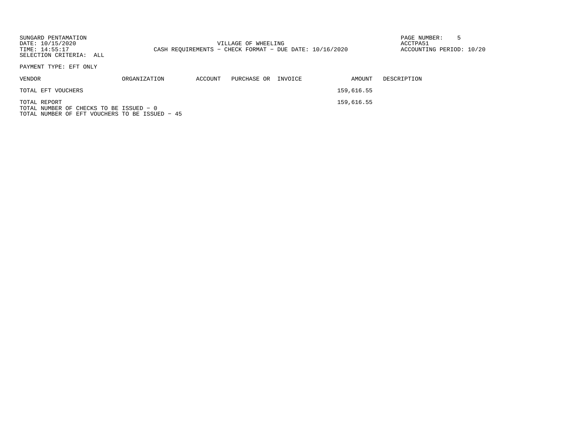SUNGARD PENTAMATION PAGE NUMBER: 5DATE: 10/15/2020 VILLAGE OF WHEELING ACCTPA51ACCOUNTING PERIOD: 10/20 TIME: 14:55:17 CASH REQUIREMENTS - CHECK FORMAT - DUE DATE: 10/16/2020 SELECTION CRITERIA: ALLPAYMENT TYPE: EFT ONLYVENDOR ORGANIZATION ACCOUNT PURCHASE OR INVOICE AMOUNT DESCRIPTIONTOTAL EFT VOUCHERS 159,616.55 TOTAL REPORT 159,616.55

TOTAL NUMBER OF CHECKS TO BE ISSUED − 0TOTAL NUMBER OF EFT VOUCHERS TO BE ISSUED − 45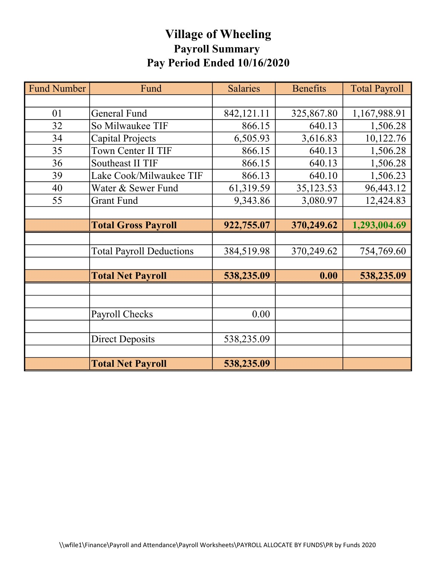## Village of Wheeling Payroll Summary Pay Period Ended 10/16/2020

| <b>Fund Number</b> | Fund                            | <b>Salaries</b> | <b>Benefits</b> | <b>Total Payroll</b> |
|--------------------|---------------------------------|-----------------|-----------------|----------------------|
|                    |                                 |                 |                 |                      |
| 01                 | General Fund                    | 842,121.11      | 325,867.80      | 1,167,988.91         |
| 32                 | So Milwaukee TIF                | 866.15          | 640.13          | 1,506.28             |
| 34                 | Capital Projects                | 6,505.93        | 3,616.83        | 10,122.76            |
| 35                 | Town Center II TIF              | 866.15          | 640.13          | 1,506.28             |
| 36                 | Southeast II TIF                | 866.15          | 640.13          | 1,506.28             |
| 39                 | Lake Cook/Milwaukee TIF         | 866.13          | 640.10          | 1,506.23             |
| 40                 | Water & Sewer Fund              | 61,319.59       | 35,123.53       | 96,443.12            |
| 55                 | <b>Grant Fund</b>               | 9,343.86        | 3,080.97        | 12,424.83            |
|                    |                                 |                 |                 |                      |
|                    | <b>Total Gross Payroll</b>      | 922,755.07      | 370,249.62      | 1,293,004.69         |
|                    |                                 |                 |                 |                      |
|                    | <b>Total Payroll Deductions</b> | 384,519.98      | 370,249.62      | 754,769.60           |
|                    |                                 |                 |                 |                      |
|                    | <b>Total Net Payroll</b>        | 538,235.09      | 0.00            | 538,235.09           |
|                    |                                 |                 |                 |                      |
|                    |                                 |                 |                 |                      |
|                    | Payroll Checks                  | 0.00            |                 |                      |
|                    |                                 |                 |                 |                      |
|                    | <b>Direct Deposits</b>          | 538,235.09      |                 |                      |
|                    |                                 |                 |                 |                      |
|                    | <b>Total Net Payroll</b>        | 538,235.09      |                 |                      |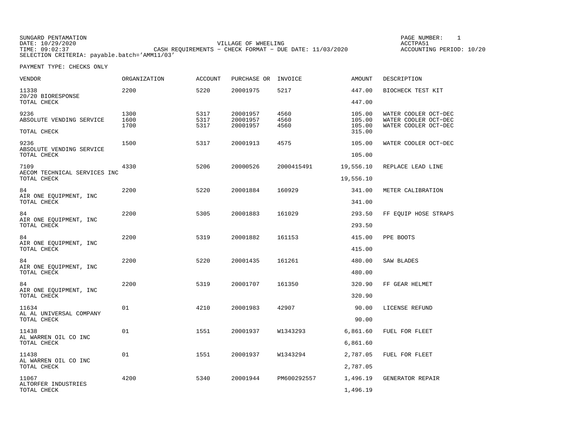| SUNGARD PENTAMATION |                                                           | PAGE NUMBER:             |
|---------------------|-----------------------------------------------------------|--------------------------|
| DATE: 10/29/2020    | VILLAGE OF WHEELING                                       | ACCTPA51                 |
| TIME: 09:02:37      | CASH REOUIREMENTS - CHECK FORMAT - DUE DATE: $11/03/2020$ | ACCOUNTING PERIOD: 10/20 |
|                     | SELECTION CRITERIA: payable.batch='AMM11/03'              |                          |

PAGE NUMBER: 1

| <b>VENDOR</b>                                   | ORGANIZATION | <b>ACCOUNT</b> | PURCHASE OR          | INVOICE      | <b>AMOUNT</b>    | DESCRIPTION                                  |
|-------------------------------------------------|--------------|----------------|----------------------|--------------|------------------|----------------------------------------------|
| 11338<br>20/20 BIORESPONSE                      | 2200         | 5220           | 20001975             | 5217         | 447.00           | BIOCHECK TEST KIT                            |
| TOTAL CHECK                                     |              |                |                      |              | 447.00           |                                              |
| 9236<br>ABSOLUTE VENDING SERVICE                | 1300<br>1600 | 5317<br>5317   | 20001957<br>20001957 | 4560<br>4560 | 105.00<br>105.00 | WATER COOLER OCT-DEC<br>WATER COOLER OCT-DEC |
|                                                 | 1700         | 5317           | 20001957             | 4560         | 105.00           | WATER COOLER OCT-DEC                         |
| TOTAL CHECK                                     |              |                |                      |              | 315.00           |                                              |
| 9236<br>ABSOLUTE VENDING SERVICE<br>TOTAL CHECK | 1500         | 5317           | 20001913             | 4575         | 105.00<br>105.00 | WATER COOLER OCT-DEC                         |
|                                                 |              |                |                      |              |                  |                                              |
| 7109<br>AECOM TECHNICAL SERVICES INC            | 4330         | 5206           | 20000526             | 2000415491   | 19,556.10        | REPLACE LEAD LINE                            |
| TOTAL CHECK                                     |              |                |                      |              | 19,556.10        |                                              |
| 84                                              | 2200         | 5220           | 20001884             | 160929       | 341.00           | METER CALIBRATION                            |
| AIR ONE EQUIPMENT, INC<br>TOTAL CHECK           |              |                |                      |              | 341.00           |                                              |
| 84                                              | 2200         | 5305           | 20001883             | 161029       | 293.50           | FF EQUIP HOSE STRAPS                         |
| AIR ONE EQUIPMENT, INC<br>TOTAL CHECK           |              |                |                      |              | 293.50           |                                              |
| 84                                              | 2200         | 5319           | 20001882             | 161153       | 415.00           | PPE BOOTS                                    |
| AIR ONE EQUIPMENT, INC<br>TOTAL CHECK           |              |                |                      |              | 415.00           |                                              |
| 84                                              | 2200         | 5220           | 20001435             | 161261       | 480.00           | SAW BLADES                                   |
| AIR ONE EQUIPMENT, INC<br>TOTAL CHECK           |              |                |                      |              | 480.00           |                                              |
| 84                                              | 2200         | 5319           | 20001707             | 161350       | 320.90           | FF GEAR HELMET                               |
| AIR ONE EQUIPMENT, INC<br>TOTAL CHECK           |              |                |                      |              | 320.90           |                                              |
| 11634                                           | 01           | 4210           | 20001983             | 42907        | 90.00            | LICENSE REFUND                               |
| AL AL UNIVERSAL COMPANY<br>TOTAL CHECK          |              |                |                      |              | 90.00            |                                              |
| 11438<br>AL WARREN OIL CO INC                   | 01           | 1551           | 20001937             | W1343293     | 6,861.60         | FUEL FOR FLEET                               |
| TOTAL CHECK                                     |              |                |                      |              | 6,861.60         |                                              |
| 11438<br>AL WARREN OIL CO INC                   | 01           | 1551           | 20001937             | W1343294     | 2,787.05         | FUEL FOR FLEET                               |
| TOTAL CHECK                                     |              |                |                      |              | 2,787.05         |                                              |
| 11067                                           | 4200         | 5340           | 20001944             | PM600292557  | 1,496.19         | GENERATOR REPAIR                             |
| ALTORFER INDUSTRIES<br>TOTAL CHECK              |              |                |                      |              | 1,496.19         |                                              |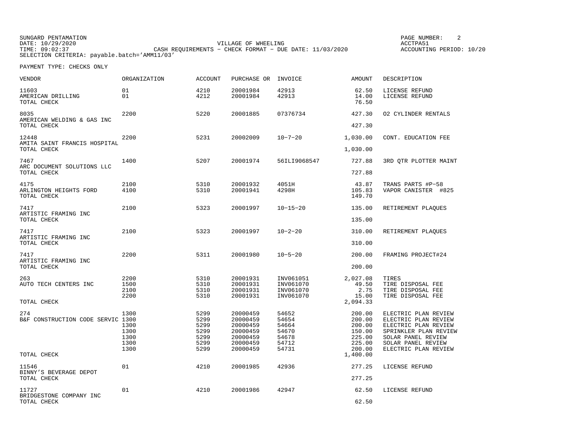SUNGARD PENTAMATION SUNGARD PENTAMATION SUNG PAGE NUMBER: 2 VILLAGE OF WHEELING **ACCTPA51** TIME: 09:02:37 CASH REQUIREMENTS − CHECK FORMAT − DUE DATE: 11/03/2020 SELECTION CRITERIA: payable.batch='AMM11/03'

ACCOUNTING PERIOD: 10/20

| VENDOR                                            | ORGANIZATION | <b>ACCOUNT</b> | PURCHASE OR          | INVOICE                | AMOUNT                  | DESCRIPTION                                  |
|---------------------------------------------------|--------------|----------------|----------------------|------------------------|-------------------------|----------------------------------------------|
| 11603<br>AMERICAN DRILLING<br>TOTAL CHECK         | 01<br>01     | 4210<br>4212   | 20001984<br>20001984 | 42913<br>42913         | 62.50<br>14.00<br>76.50 | LICENSE REFUND<br>LICENSE REFUND             |
| 8035<br>AMERICAN WELDING & GAS INC                | 2200         | 5220           | 20001885             | 07376734               | 427.30                  | 02 CYLINDER RENTALS                          |
| TOTAL CHECK                                       |              |                |                      |                        | 427.30                  |                                              |
| 12448<br>AMITA SAINT FRANCIS HOSPITAL             | 2200         | 5231           | 20002009             | $10 - 7 - 20$          | 1,030.00                | CONT. EDUCATION FEE                          |
| TOTAL CHECK                                       |              |                |                      |                        | 1,030.00                |                                              |
| 7467<br>ARC DOCUMENT SOLUTIONS LLC<br>TOTAL CHECK | 1400         | 5207           | 20001974             | 56ILI9068547           | 727.88<br>727.88        | 3RD QTR PLOTTER MAINT                        |
| 4175                                              | 2100         | 5310           | 20001932             | 4051H                  | 43.87                   |                                              |
| ARLINGTON HEIGHTS FORD<br>TOTAL CHECK             | 4100         | 5310           | 20001941             | 4298H                  | 105.83<br>149.70        | TRANS PARTS #P-58<br>VAPOR CANISTER #825     |
| 7417                                              | 2100         | 5323           | 20001997             | $10 - 15 - 20$         | 135.00                  | RETIREMENT PLAOUES                           |
| ARTISTIC FRAMING INC<br>TOTAL CHECK               |              |                |                      |                        | 135.00                  |                                              |
| 7417                                              | 2100         | 5323           | 20001997             | $10 - 2 - 20$          | 310.00                  | RETIREMENT PLAQUES                           |
| ARTISTIC FRAMING INC<br>TOTAL CHECK               |              |                |                      |                        | 310.00                  |                                              |
| 7417                                              | 2200         | 5311           | 20001980             | $10 - 5 - 20$          | 200.00                  | FRAMING PROJECT#24                           |
| ARTISTIC FRAMING INC<br>TOTAL CHECK               |              |                |                      |                        | 200.00                  |                                              |
| 263                                               | 2200         | 5310           | 20001931             | INV061051              | 2,027.08                | TIRES                                        |
| AUTO TECH CENTERS INC                             | 1500<br>2100 | 5310<br>5310   | 20001931<br>20001931 | INV061070<br>INV061070 | 49.50<br>2.75           | TIRE DISPOSAL FEE<br>TIRE DISPOSAL FEE       |
|                                                   | 2200         | 5310           | 20001931             | INV061070              | 15.00                   | TIRE DISPOSAL FEE                            |
| TOTAL CHECK                                       |              |                |                      |                        | 2,094.33                |                                              |
| 274                                               | 1300         | 5299           | 20000459             | 54652                  | 200.00                  | ELECTRIC PLAN REVIEW                         |
| B&F CONSTRUCTION CODE SERVIC 1300                 | 1300         | 5299<br>5299   | 20000459<br>20000459 | 54654<br>54664         | 200.00<br>200.00        | ELECTRIC PLAN REVIEW<br>ELECTRIC PLAN REVIEW |
|                                                   | 1300         | 5299           | 20000459             | 54670                  | 150.00                  | SPRINKLER PLAN REVIEW                        |
|                                                   | 1300         | 5299           | 20000459             | 54678                  | 225.00                  | SOLAR PANEL REVIEW                           |
|                                                   | 1300         | 5299           | 20000459             | 54712                  | 225.00                  | SOLAR PANEL REVIEW                           |
| TOTAL CHECK                                       | 1300         | 5299           | 20000459             | 54731                  | 200.00<br>1,400.00      | ELECTRIC PLAN REVIEW                         |
| 11546<br>BINNY'S BEVERAGE DEPOT                   | 01           | 4210           | 20001985             | 42936                  | 277.25                  | LICENSE REFUND                               |
| TOTAL CHECK                                       |              |                |                      |                        | 277.25                  |                                              |
| 11727<br>BRIDGESTONE COMPANY INC                  | 01           | 4210           | 20001986             | 42947                  | 62.50                   | LICENSE REFUND                               |
| TOTAL CHECK                                       |              |                |                      |                        | 62.50                   |                                              |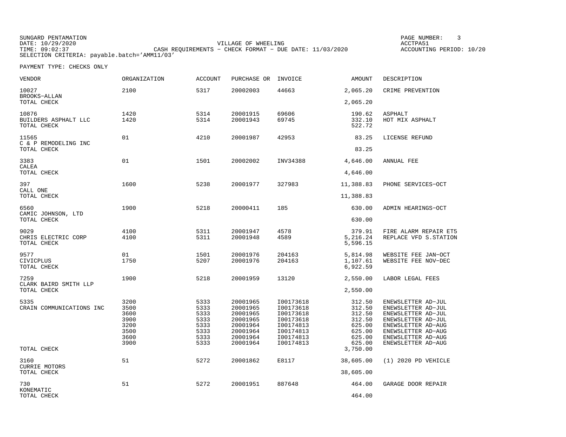SUNGARD PENTAMATION PAGE NUMBER: 3VILLAGE OF WHEELING **ACCTPA51** TIME: 09:02:37 CASH REQUIREMENTS − CHECK FORMAT − DUE DATE: 11/03/2020 SELECTION CRITERIA: payable.batch='AMM11/03'

ACCOUNTING PERIOD: 10/20

| <b>VENDOR</b>                                   | ORGANIZATION                                                 | <b>ACCOUNT</b>                                               | PURCHASE OR                                                                                  | INVOICE                                                                                              | AMOUNT                                                                                   | DESCRIPTION                                                                                                                                                                  |
|-------------------------------------------------|--------------------------------------------------------------|--------------------------------------------------------------|----------------------------------------------------------------------------------------------|------------------------------------------------------------------------------------------------------|------------------------------------------------------------------------------------------|------------------------------------------------------------------------------------------------------------------------------------------------------------------------------|
| 10027<br>BROOKS-ALLAN                           | 2100                                                         | 5317                                                         | 20002003                                                                                     | 44663                                                                                                | 2,065.20                                                                                 | CRIME PREVENTION                                                                                                                                                             |
| TOTAL CHECK                                     |                                                              |                                                              |                                                                                              |                                                                                                      | 2,065.20                                                                                 |                                                                                                                                                                              |
| 10876<br>BUILDERS ASPHALT LLC<br>TOTAL CHECK    | 1420<br>1420                                                 | 5314<br>5314                                                 | 20001915<br>20001943                                                                         | 69606<br>69745                                                                                       | 190.62<br>332.10<br>522.72                                                               | <b>ASPHALT</b><br>HOT MIX ASPHALT                                                                                                                                            |
| 11565<br>C & P REMODELING INC<br>TOTAL CHECK    | 01                                                           | 4210                                                         | 20001987                                                                                     | 42953                                                                                                | 83.25<br>83.25                                                                           | LICENSE REFUND                                                                                                                                                               |
|                                                 |                                                              |                                                              |                                                                                              |                                                                                                      |                                                                                          |                                                                                                                                                                              |
| 3383<br>CALEA<br>TOTAL CHECK                    | 01                                                           | 1501                                                         | 20002002                                                                                     | INV34388                                                                                             | 4,646.00<br>4,646.00                                                                     | ANNUAL FEE                                                                                                                                                                   |
|                                                 |                                                              |                                                              |                                                                                              |                                                                                                      |                                                                                          |                                                                                                                                                                              |
| 397<br>CALL ONE<br>TOTAL CHECK                  | 1600                                                         | 5238                                                         | 20001977                                                                                     | 327983                                                                                               | 11,388.83<br>11,388.83                                                                   | PHONE SERVICES-OCT                                                                                                                                                           |
|                                                 |                                                              |                                                              |                                                                                              |                                                                                                      |                                                                                          |                                                                                                                                                                              |
| 6560<br>CAMIC JOHNSON, LTD                      | 1900                                                         | 5218                                                         | 20000411                                                                                     | 185                                                                                                  | 630.00                                                                                   | ADMIN HEARINGS-OCT                                                                                                                                                           |
| TOTAL CHECK                                     |                                                              |                                                              |                                                                                              |                                                                                                      | 630.00                                                                                   |                                                                                                                                                                              |
| 9029<br>CHRIS ELECTRIC CORP<br>TOTAL CHECK      | 4100<br>4100                                                 | 5311<br>5311                                                 | 20001947<br>20001948                                                                         | 4578<br>4589                                                                                         | 379.91<br>5,216.24<br>5,596.15                                                           | FIRE ALARM REPAIR ET5<br>REPLACE VFD S. STATION                                                                                                                              |
| 9577<br><b>CIVICPLUS</b><br>TOTAL CHECK         | 01<br>1750                                                   | 1501<br>5207                                                 | 20001976<br>20001976                                                                         | 204163<br>204163                                                                                     | 5,814.98<br>1,107.61<br>6,922.59                                                         | WEBSITE FEE JAN-OCT<br>WEBSITE FEE NOV-DEC                                                                                                                                   |
| 7259<br>CLARK BAIRD SMITH LLP                   | 1900                                                         | 5218                                                         | 20001959                                                                                     | 13120                                                                                                | 2,550.00                                                                                 | LABOR LEGAL FEES                                                                                                                                                             |
| TOTAL CHECK                                     |                                                              |                                                              |                                                                                              |                                                                                                      | 2,550.00                                                                                 |                                                                                                                                                                              |
| 5335<br>CRAIN COMMUNICATIONS INC<br>TOTAL CHECK | 3200<br>3500<br>3600<br>3900<br>3200<br>3500<br>3600<br>3900 | 5333<br>5333<br>5333<br>5333<br>5333<br>5333<br>5333<br>5333 | 20001965<br>20001965<br>20001965<br>20001965<br>20001964<br>20001964<br>20001964<br>20001964 | I00173618<br>I00173618<br>I00173618<br>I00173618<br>I00174813<br>I00174813<br>I00174813<br>I00174813 | 312.50<br>312.50<br>312.50<br>312.50<br>625.00<br>625.00<br>625.00<br>625.00<br>3,750.00 | ENEWSLETTER AD-JUL<br>ENEWSLETTER AD-JUL<br>ENEWSLETTER AD-JUL<br>ENEWSLETTER AD-JUL<br>ENEWSLETTER AD-AUG<br>ENEWSLETTER AD-AUG<br>ENEWSLETTER AD-AUG<br>ENEWSLETTER AD-AUG |
|                                                 |                                                              |                                                              |                                                                                              |                                                                                                      |                                                                                          |                                                                                                                                                                              |
| 3160<br><b>CURRIE MOTORS</b><br>TOTAL CHECK     | 51                                                           | 5272                                                         | 20001862                                                                                     | E8117                                                                                                | 38,605.00<br>38,605.00                                                                   | $(1)$ 2020 PD VEHICLE                                                                                                                                                        |
|                                                 |                                                              |                                                              |                                                                                              |                                                                                                      |                                                                                          |                                                                                                                                                                              |
| 730<br>KONEMATIC<br>TOTAL CHECK                 | 51                                                           | 5272                                                         | 20001951                                                                                     | 887648                                                                                               | 464.00<br>464.00                                                                         | GARAGE DOOR REPAIR                                                                                                                                                           |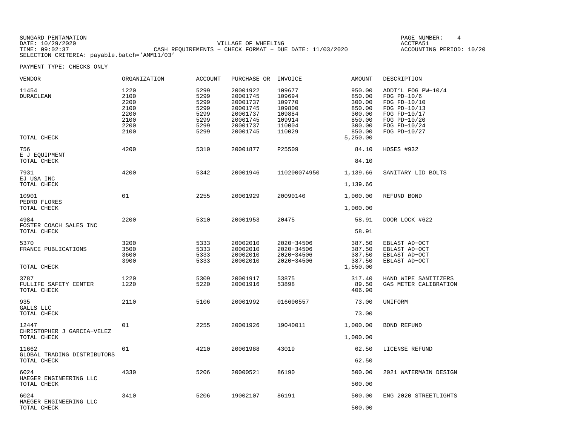| SUNGARD PENTAMATION |                                                           | PAGE NUMBER:             |  |
|---------------------|-----------------------------------------------------------|--------------------------|--|
| DATE: 10/29/2020    | VILLAGE OF WHEELING                                       | ACCTPA51                 |  |
| TIME: 09:02:37      | CASH REOUIREMENTS - CHECK FORMAT - DUE DATE: $11/03/2020$ | ACCOUNTING PERIOD: 10/20 |  |
|                     | SELECTION CRITERIA: payable.batch='AMM11/03'              |                          |  |

| VENDOR                                              | <b>ORGANIZATION</b>                                          | <b>ACCOUNT</b>                                               | PURCHASE OR                                                                                  | INVOICE                                                                      | AMOUNT                                                                                   | DESCRIPTION                                                                                                                         |
|-----------------------------------------------------|--------------------------------------------------------------|--------------------------------------------------------------|----------------------------------------------------------------------------------------------|------------------------------------------------------------------------------|------------------------------------------------------------------------------------------|-------------------------------------------------------------------------------------------------------------------------------------|
| 11454<br>DURACLEAN<br>TOTAL CHECK                   | 1220<br>2100<br>2200<br>2100<br>2200<br>2100<br>2200<br>2100 | 5299<br>5299<br>5299<br>5299<br>5299<br>5299<br>5299<br>5299 | 20001922<br>20001745<br>20001737<br>20001745<br>20001737<br>20001745<br>20001737<br>20001745 | 109677<br>109694<br>109770<br>109800<br>109884<br>109914<br>110004<br>110029 | 950.00<br>850.00<br>300.00<br>850.00<br>300.00<br>850.00<br>300.00<br>850.00<br>5,250.00 | ADDT'L FOG PW-10/4<br>FOG $PD-10/6$<br>FOG FD-10/10<br>FOG PD-10/13<br>FOG FD-10/17<br>FOG PD-10/20<br>FOG FD-10/24<br>FOG PD-10/27 |
| 756                                                 | 4200                                                         | 5310                                                         | 20001877                                                                                     | P25509                                                                       | 84.10                                                                                    | HOSES #932                                                                                                                          |
| E J EQUIPMENT<br>TOTAL CHECK                        |                                                              |                                                              |                                                                                              |                                                                              | 84.10                                                                                    |                                                                                                                                     |
| 7931<br>EJ USA INC                                  | 4200                                                         | 5342                                                         | 20001946                                                                                     | 110200074950                                                                 | 1,139.66                                                                                 | SANITARY LID BOLTS                                                                                                                  |
| TOTAL CHECK                                         |                                                              |                                                              |                                                                                              |                                                                              | 1,139.66                                                                                 |                                                                                                                                     |
| 10901<br>PEDRO FLORES                               | 01                                                           | 2255                                                         | 20001929                                                                                     | 20090140                                                                     | 1,000.00                                                                                 | REFUND BOND                                                                                                                         |
| TOTAL CHECK                                         |                                                              |                                                              |                                                                                              |                                                                              | 1,000.00                                                                                 |                                                                                                                                     |
| 4984<br>FOSTER COACH SALES INC<br>TOTAL CHECK       | 2200                                                         | 5310                                                         | 20001953                                                                                     | 20475                                                                        | 58.91<br>58.91                                                                           | DOOR LOCK #622                                                                                                                      |
| 5370<br>FRANCE PUBLICATIONS<br>TOTAL CHECK          | 3200<br>3500<br>3600<br>3900                                 | 5333<br>5333<br>5333<br>5333                                 | 20002010<br>20002010<br>20002010<br>20002010                                                 | 2020-34506<br>2020-34506<br>2020-34506<br>2020-34506                         | 387.50<br>387.50<br>387.50<br>387.50<br>1,550.00                                         | EBLAST AD-OCT<br>EBLAST AD-OCT<br>EBLAST AD-OCT<br>EBLAST AD-OCT                                                                    |
| 3787<br>FULLIFE SAFETY CENTER<br>TOTAL CHECK        | 1220<br>1220                                                 | 5309<br>5220                                                 | 20001917<br>20001916                                                                         | 53875<br>53898                                                               | 317.40<br>89.50<br>406.90                                                                | HAND WIPE SANITIZERS<br>GAS METER CALIBRATION                                                                                       |
| 935<br>GALLS LLC<br>TOTAL CHECK                     | 2110                                                         | 5106                                                         | 20001992                                                                                     | 016600557                                                                    | 73.00<br>73.00                                                                           | UNIFORM                                                                                                                             |
| 12447<br>CHRISTOPHER J GARCIA-VELEZ<br>TOTAL CHECK  | 01                                                           | 2255                                                         | 20001926                                                                                     | 19040011                                                                     | 1,000.00<br>1,000.00                                                                     | BOND REFUND                                                                                                                         |
| 11662<br>GLOBAL TRADING DISTRIBUTORS<br>TOTAL CHECK | 01                                                           | 4210                                                         | 20001988                                                                                     | 43019                                                                        | 62.50<br>62.50                                                                           | LICENSE REFUND                                                                                                                      |
| 6024<br>HAEGER ENGINEERING LLC<br>TOTAL CHECK       | 4330                                                         | 5206                                                         | 20000521                                                                                     | 86190                                                                        | 500.00<br>500.00                                                                         | 2021 WATERMAIN DESIGN                                                                                                               |
| 6024<br>HAEGER ENGINEERING LLC<br>TOTAL CHECK       | 3410                                                         | 5206                                                         | 19002107                                                                                     | 86191                                                                        | 500.00<br>500.00                                                                         | ENG 2020 STREETLIGHTS                                                                                                               |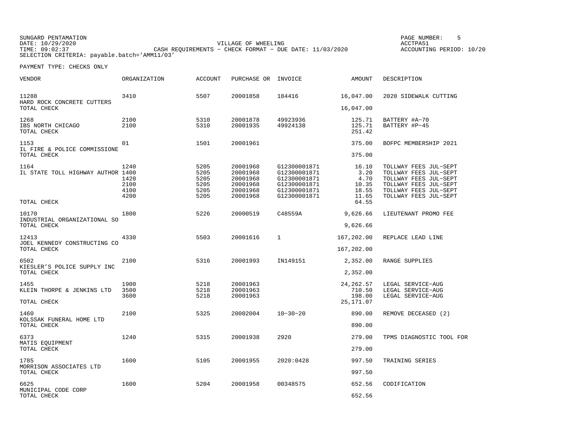SUNGARD PENTAMATION PAGE NUMBER: 5VILLAGE OF WHEELING **ACCTPA51** TIME: 09:02:37 CASH REQUIREMENTS − CHECK FORMAT − DUE DATE: 11/03/2020 SELECTION CRITERIA: payable.batch='AMM11/03'

ACCOUNTING PERIOD: 10/20

| VENDOR                                               | ORGANIZATION                         | <b>ACCOUNT</b>                               | PURCHASE OR                                                          | INVOICE                                                                                      | AMOUNT                                           | DESCRIPTION                                                                                                                                        |
|------------------------------------------------------|--------------------------------------|----------------------------------------------|----------------------------------------------------------------------|----------------------------------------------------------------------------------------------|--------------------------------------------------|----------------------------------------------------------------------------------------------------------------------------------------------------|
| 11288<br>HARD ROCK CONCRETE CUTTERS                  | 3410                                 | 5507                                         | 20001858                                                             | 184416                                                                                       | 16,047.00                                        | 2020 SIDEWALK CUTTING                                                                                                                              |
| TOTAL CHECK                                          |                                      |                                              |                                                                      |                                                                                              | 16,047.00                                        |                                                                                                                                                    |
| 1268<br>IBS NORTH CHICAGO<br>TOTAL CHECK             | 2100<br>2100                         | 5310<br>5310                                 | 20001878<br>20001935                                                 | 49923936<br>49924138                                                                         | 125.71<br>125.71<br>251.42                       | BATTERY #A-70<br>BATTERY #P-45                                                                                                                     |
| 1153                                                 | 01                                   | 1501                                         | 20001961                                                             |                                                                                              | 375.00                                           | BOFPC MEMBERSHIP 2021                                                                                                                              |
| IL FIRE & POLICE COMMISSIONE<br>TOTAL CHECK          |                                      |                                              |                                                                      |                                                                                              | 375.00                                           |                                                                                                                                                    |
| 1164<br>IL STATE TOLL HIGHWAY AUTHOR 1400            | 1240<br>1420<br>2100<br>4100<br>4200 | 5205<br>5205<br>5205<br>5205<br>5205<br>5205 | 20001968<br>20001968<br>20001968<br>20001968<br>20001968<br>20001968 | G12300001871<br>G12300001871<br>G12300001871<br>G12300001871<br>G12300001871<br>G12300001871 | 16.10<br>3.20<br>4.70<br>10.35<br>18.55<br>11.65 | TOLLWAY FEES JUL-SEPT<br>TOLLWAY FEES JUL-SEPT<br>TOLLWAY FEES JUL-SEPT<br>TOLLWAY FEES JUL-SEPT<br>TOLLWAY FEES JUL-SEPT<br>TOLLWAY FEES JUL-SEPT |
| TOTAL CHECK                                          |                                      |                                              |                                                                      |                                                                                              | 64.55                                            |                                                                                                                                                    |
| 10170<br>INDUSTRIAL ORGANIZATIONAL SO<br>TOTAL CHECK | 1800                                 | 5226                                         | 20000519                                                             | C48559A                                                                                      | 9,626.66<br>9,626.66                             | LIEUTENANT PROMO FEE                                                                                                                               |
| 12413                                                | 4330                                 | 5503                                         | 20001616                                                             | $\mathbf{1}$                                                                                 | 167,202.00                                       | REPLACE LEAD LINE                                                                                                                                  |
| JOEL KENNEDY CONSTRUCTING CO<br>TOTAL CHECK          |                                      |                                              |                                                                      |                                                                                              | 167,202.00                                       |                                                                                                                                                    |
| 6502                                                 | 2100                                 | 5316                                         | 20001993                                                             | IN149151                                                                                     | 2,352.00                                         | RANGE SUPPLIES                                                                                                                                     |
| KIESLER'S POLICE SUPPLY INC<br>TOTAL CHECK           |                                      |                                              |                                                                      |                                                                                              | 2,352.00                                         |                                                                                                                                                    |
| 1455<br>KLEIN THORPE & JENKINS LTD                   | 1900<br>3500                         | 5218<br>5218                                 | 20001963<br>20001963                                                 |                                                                                              | 24, 262.57<br>710.50                             | LEGAL SERVICE-AUG<br>LEGAL SERVICE-AUG                                                                                                             |
| TOTAL CHECK                                          | 3600                                 | 5218                                         | 20001963                                                             |                                                                                              | 198.00<br>25, 171.07                             | LEGAL SERVICE-AUG                                                                                                                                  |
| 1460                                                 | 2100                                 | 5325                                         | 20002004                                                             | $10 - 30 - 20$                                                                               | 890.00                                           | REMOVE DECEASED (2)                                                                                                                                |
| KOLSSAK FUNERAL HOME LTD<br>TOTAL CHECK              |                                      |                                              |                                                                      |                                                                                              | 890.00                                           |                                                                                                                                                    |
| 6373<br>MATIS EOUIPMENT                              | 1240                                 | 5315                                         | 20001938                                                             | 2920                                                                                         | 279.00                                           | TPMS DIAGNOSTIC TOOL FOR                                                                                                                           |
| TOTAL CHECK                                          |                                      |                                              |                                                                      |                                                                                              | 279.00                                           |                                                                                                                                                    |
| 1785<br>MORRISON ASSOCIATES LTD                      | 1600                                 | 5105                                         | 20001955                                                             | 2020:0428                                                                                    | 997.50                                           | TRAINING SERIES                                                                                                                                    |
| TOTAL CHECK                                          |                                      |                                              |                                                                      |                                                                                              | 997.50                                           |                                                                                                                                                    |
| 6625<br>MUNICIPAL CODE CORP                          | 1600                                 | 5204                                         | 20001958                                                             | 00348575                                                                                     | 652.56                                           | CODIFICATION                                                                                                                                       |
| TOTAL CHECK                                          |                                      |                                              |                                                                      |                                                                                              | 652.56                                           |                                                                                                                                                    |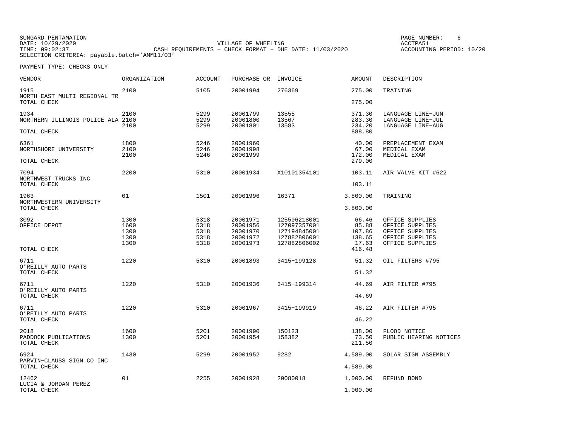SUNGARD PENTAMATION PAGE NUMBER: 6VILLAGE OF WHEELING **ACCTPA51** TIME: 09:02:37 CASH REQUIREMENTS − CHECK FORMAT − DUE DATE: 11/03/2020 SELECTION CRITERIA: payable.batch='AMM11/03'

ACCOUNTING PERIOD: 10/20

| VENDOR                                                   | ORGANIZATION                         | <b>ACCOUNT</b>                       | PURCHASE OR                                              | INVOICE                                                                      | <b>AMOUNT</b>                                         | DESCRIPTION                                                                                 |
|----------------------------------------------------------|--------------------------------------|--------------------------------------|----------------------------------------------------------|------------------------------------------------------------------------------|-------------------------------------------------------|---------------------------------------------------------------------------------------------|
| 1915<br>NORTH EAST MULTI REGIONAL TR<br>TOTAL CHECK      | 2100                                 | 5105                                 | 20001994                                                 | 276369                                                                       | 275.00<br>275.00                                      | TRAINING                                                                                    |
| 1934<br>NORTHERN ILLINOIS POLICE ALA 2100<br>TOTAL CHECK | 2100<br>2100                         | 5299<br>5299<br>5299                 | 20001799<br>20001800<br>20001801                         | 13555<br>13567<br>13583                                                      | 371.30<br>283.30<br>234.20<br>888.80                  | LANGUAGE LINE-JUN<br>LANGUAGE LINE-JUL<br>LANGUAGE LINE-AUG                                 |
| 6361<br>NORTHSHORE UNIVERSITY<br>TOTAL CHECK             | 1800<br>2100<br>2100                 | 5246<br>5246<br>5246                 | 20001960<br>20001998<br>20001999                         |                                                                              | 40.00<br>67.00<br>172.00<br>279.00                    | PREPLACEMENT EXAM<br>MEDICAL EXAM<br>MEDICAL EXAM                                           |
| 7094<br>NORTHWEST TRUCKS INC<br>TOTAL CHECK              | 2200                                 | 5310                                 | 20001934                                                 | X10101354101                                                                 | 103.11<br>103.11                                      | AIR VALVE KIT #622                                                                          |
| 1963<br>NORTHWESTERN UNIVERSITY<br>TOTAL CHECK           | 01                                   | 1501                                 | 20001996                                                 | 16371                                                                        | 3,800.00<br>3,800.00                                  | TRAINING                                                                                    |
| 3092<br>OFFICE DEPOT<br>TOTAL CHECK                      | 1300<br>1600<br>1300<br>1300<br>1300 | 5318<br>5318<br>5318<br>5318<br>5318 | 20001971<br>20001956<br>20001970<br>20001972<br>20001973 | 125506218001<br>127097357001<br>127194845001<br>127882806001<br>127882806002 | 66.46<br>85.88<br>107.86<br>138.65<br>17.63<br>416.48 | OFFICE SUPPLIES<br>OFFICE SUPPLIES<br>OFFICE SUPPLIES<br>OFFICE SUPPLIES<br>OFFICE SUPPLIES |
| 6711<br>O'REILLY AUTO PARTS<br>TOTAL CHECK               | 1220                                 | 5310                                 | 20001893                                                 | 3415-199128                                                                  | 51.32<br>51.32                                        | OIL FILTERS #795                                                                            |
| 6711<br>O'REILLY AUTO PARTS<br>TOTAL CHECK               | 1220                                 | 5310                                 | 20001936                                                 | 3415-199314                                                                  | 44.69<br>44.69                                        | AIR FILTER #795                                                                             |
| 6711<br>O'REILLY AUTO PARTS<br>TOTAL CHECK               | 1220                                 | 5310                                 | 20001967                                                 | 3415-199919                                                                  | 46.22<br>46.22                                        | AIR FILTER #795                                                                             |
| 2018<br>PADDOCK PUBLICATIONS<br>TOTAL CHECK              | 1600<br>1300                         | 5201<br>5201                         | 20001990<br>20001954                                     | 150123<br>158382                                                             | 138.00<br>73.50<br>211.50                             | FLOOD NOTICE<br>PUBLIC HEARING NOTICES                                                      |
| 6924<br>PARVIN-CLAUSS SIGN CO INC<br>TOTAL CHECK         | 1430                                 | 5299                                 | 20001952                                                 | 9282                                                                         | 4,589.00<br>4,589.00                                  | SOLAR SIGN ASSEMBLY                                                                         |
| 12462<br>LUCIA & JORDAN PEREZ<br>TOTAL CHECK             | 01                                   | 2255                                 | 20001928                                                 | 20080018                                                                     | 1,000.00<br>1,000.00                                  | REFUND BOND                                                                                 |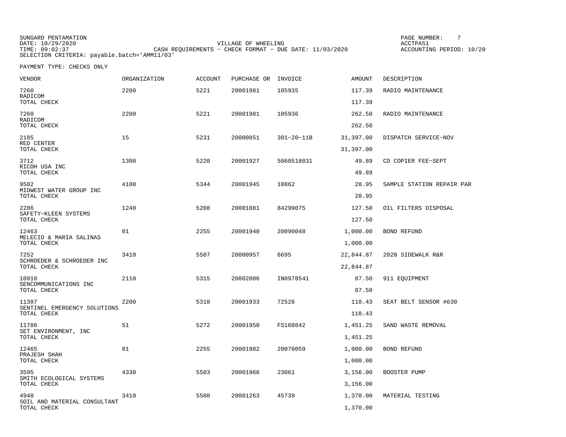SUNGARD PENTAMATION PAGE NUMBER: 7DATE: 10/29/2020 VILLAGE OF WHEELING ACCTPA51CASH REQUIREMENTS - CHECK FORMAT - DUE DATE: 11/03/2020 SELECTION CRITERIA: payable.batch='AMM11/03'

ACCOUNTING PERIOD: 10/20

| VENDOR                                          | ORGANIZATION | <b>ACCOUNT</b> | PURCHASE OR INVOICE |                  | <b>AMOUNT</b>        | DESCRIPTION               |
|-------------------------------------------------|--------------|----------------|---------------------|------------------|----------------------|---------------------------|
| 7260<br>RADICOM                                 | 2200         | 5221           | 20001981            | 105935           | 117.39               | RADIO MAINTENANCE         |
| TOTAL CHECK                                     |              |                |                     |                  | 117.39               |                           |
| 7260<br>RADICOM<br>TOTAL CHECK                  | 2200         | 5221           | 20001981            | 105936           | 262.50<br>262.50     | RADIO MAINTENANCE         |
| 2185<br>RED CENTER                              | 15           | 5231           | 20000851            | $301 - 20 - 11B$ | 31,397.00            | DISPATCH SERVICE-NOV      |
| TOTAL CHECK                                     |              |                |                     |                  | 31,397.00            |                           |
| 3712<br>RICOH USA INC<br>TOTAL CHECK            | 1300         | 5220           | 20001927            | 5060518031       | 49.89<br>49.89       | CD COPIER FEE-SEPT        |
| 9502                                            | 4100         | 5344           | 20001945            | 10862            | 28.95                | SAMPLE STATION REPAIR PAR |
| MIDWEST WATER GROUP INC<br>TOTAL CHECK          |              |                |                     |                  | 28.95                |                           |
| 2286                                            | 1240         | 5208           | 20001881            | 84299075         | 127.50               | OIL FILTERS DISPOSAL      |
| SAFETY-KLEEN SYSTEMS<br>TOTAL CHECK             |              |                |                     |                  | 127.50               |                           |
| 12463<br>MELECIO & MARIA SALINAS<br>TOTAL CHECK | 01           | 2255           | 20001940            | 20090048         | 1,000.00<br>1,000.00 | BOND REFUND               |
| 7252                                            | 3410         | 5507           | 20000957            | 6695             | 22,844.87            | 2020 SIDEWALK R&R         |
| SCHROEDER & SCHROEDER INC<br>TOTAL CHECK        |              |                |                     |                  | 22,844.87            |                           |
| 10910                                           | 2110         | 5315           | 20002006            | IN0978541        | 87.50                | 911 EQUIPMENT             |
| SENCOMMUNICATIONS INC<br>TOTAL CHECK            |              |                |                     |                  | 87.50                |                           |
| 11387                                           | 2200         | 5310           | 20001933            | 72526            | 118.43               | SEAT BELT SENSOR #630     |
| SENTINEL EMERGENCY SOLUTIONS<br>TOTAL CHECK     |              |                |                     |                  | 118.43               |                           |
| 11786                                           | 51           | 5272           | 20001950            | FS168842         | 1,451.25             | SAND WASTE REMOVAL        |
| SET ENVIRONMENT, INC<br>TOTAL CHECK             |              |                |                     |                  | 1,451.25             |                           |
| 12465                                           | 01           | 2255           | 20001982            | 20070059         | 1,000.00             | BOND REFUND               |
| PRAJESH SHAH<br>TOTAL CHECK                     |              |                |                     |                  | 1,000.00             |                           |
| 3595<br>SMITH ECOLOGICAL SYSTEMS                | 4330         | 5503           | 20001966            | 23061            | 3,156.00             | BOOSTER PUMP              |
| TOTAL CHECK                                     |              |                |                     |                  | 3,156.00             |                           |
| 4948<br>SOIL AND MATERIAL CONSULTANT            | 3410         | 5508           | 20001263            | 45739            | 1,370.00             | MATERIAL TESTING          |
| TOTAL CHECK                                     |              |                |                     |                  | 1,370.00             |                           |